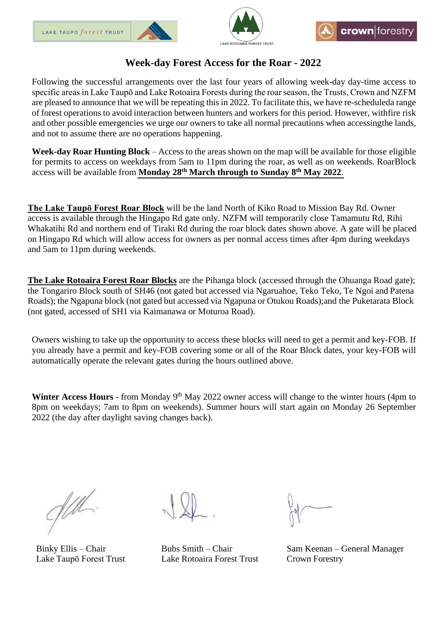





## **Week-day Forest Access for the Roar - 2022**

Following the successful arrangements over the last four years of allowing week-day day-time access to specific areas in Lake Taupō and Lake Rotoaira Forests during the roar season, the Trusts, Crown and NZFM are pleased to announce that we will be repeating this in 2022. To facilitate this, we have re-scheduleda range of forest operations to avoid interaction between hunters and workers for this period. However, withfire risk and other possible emergencies we urge our owners to take all normal precautions when accessingthe lands, and not to assume there are no operations happening.

**Week-day Roar Hunting Block** – Access to the areas shown on the map will be available for those eligible for permits to access on weekdays from 5am to 11pm during the roar, as well as on weekends. RoarBlock access will be available from **Monday 28 th March through to Sunday 8 th May 2022**.

**The Lake Taupō Forest Roar Block** will be the land North of Kiko Road to Mission Bay Rd. Owner access is available through the Hingapo Rd gate only. NZFM will temporarily close Tamamutu Rd, Rihi Whakatihi Rd and northern end of Tiraki Rd during the roar block dates shown above. A gate will be placed on Hingapo Rd which will allow access for owners as per normal access times after 4pm during weekdays and 5am to 11pm during weekends.

**The Lake Rotoaira Forest Roar Blocks** are the Pihanga block (accessed through the Ohuanga Road gate); the Tongariro Block south of SH46 (not gated but accessed via Ngaruahoe, Teko Teko, Te Ngoi and Patena Roads); the Ngapuna block (not gated but accessed via Ngapuna or Otukou Roads);and the Puketarata Block (not gated, accessed of SH1 via Kaimanawa or Moturoa Road).

Owners wishing to take up the opportunity to access these blocks will need to get a permit and key-FOB. If you already have a permit and key-FOB covering some or all of the Roar Block dates, your key-FOB will automatically operate the relevant gates during the hours outlined above.

Winter Access Hours - from Monday 9<sup>th</sup> May 2022 owner access will change to the winter hours (4pm to 8pm on weekdays; 7am to 8pm on weekends). Summer hours will start again on Monday 26 September 2022 (the day after daylight saving changes back).

 $\frac{1}{10}$ 

Lake Taupō Forest Trust Lake Rotoaira Forest Trust Crown Forestry

Binky Ellis – Chair Bubs Smith – Chair Sam Keenan – General Manager